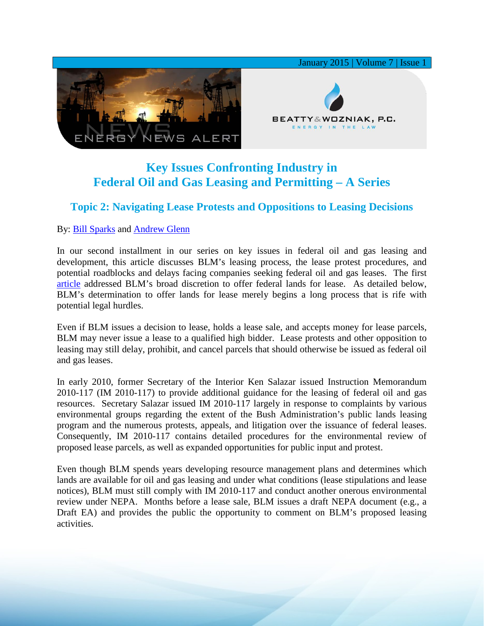

## **Key Issues Confronting Industry in Federal Oil and Gas Leasing and Permitting – A Series**

## **Topic 2: Navigating Lease Protests and Oppositions to Leasing Decisions**

By: [Bill Sparks](http://www.bwenergylaw.com/#!william-sparks/c1ynl) and [Andrew Glenn](http://www.bwenergylaw.com/#!andrew-glenn/c1mcj)

In our second installment in our series on key issues in federal oil and gas leasing and development, this article discusses BLM's leasing process, the lease protest procedures, and potential roadblocks and delays facing companies seeking federal oil and gas leases. The first [article](http://media.wix.com/ugd/2f2374_7e8c2530d05043c7bfa4209523f17c69.pdf) addressed BLM's broad discretion to offer federal lands for lease. As detailed below, BLM's determination to offer lands for lease merely begins a long process that is rife with potential legal hurdles.

Even if BLM issues a decision to lease, holds a lease sale, and accepts money for lease parcels, BLM may never issue a lease to a qualified high bidder. Lease protests and other opposition to leasing may still delay, prohibit, and cancel parcels that should otherwise be issued as federal oil and gas leases.

In early 2010, former Secretary of the Interior Ken Salazar issued Instruction Memorandum 2010-117 (IM 2010-117) to provide additional guidance for the leasing of federal oil and gas resources. Secretary Salazar issued IM 2010-117 largely in response to complaints by various environmental groups regarding the extent of the Bush Administration's public lands leasing program and the numerous protests, appeals, and litigation over the issuance of federal leases. Consequently, IM 2010-117 contains detailed procedures for the environmental review of proposed lease parcels, as well as expanded opportunities for public input and protest.

Even though BLM spends years developing resource management plans and determines which lands are available for oil and gas leasing and under what conditions (lease stipulations and lease notices), BLM must still comply with IM 2010-117 and conduct another onerous environmental review under NEPA. Months before a lease sale, BLM issues a draft NEPA document (e.g., a Draft EA) and provides the public the opportunity to comment on BLM's proposed leasing activities.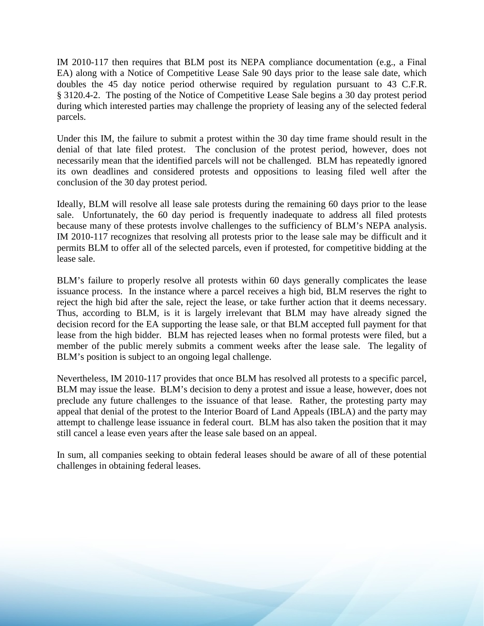IM 2010-117 then requires that BLM post its NEPA compliance documentation (e.g., a Final EA) along with a Notice of Competitive Lease Sale 90 days prior to the lease sale date, which doubles the 45 day notice period otherwise required by regulation pursuant to 43 C.F.R. § 3120.4-2. The posting of the Notice of Competitive Lease Sale begins a 30 day protest period during which interested parties may challenge the propriety of leasing any of the selected federal parcels.

Under this IM, the failure to submit a protest within the 30 day time frame should result in the denial of that late filed protest. The conclusion of the protest period, however, does not necessarily mean that the identified parcels will not be challenged. BLM has repeatedly ignored its own deadlines and considered protests and oppositions to leasing filed well after the conclusion of the 30 day protest period.

Ideally, BLM will resolve all lease sale protests during the remaining 60 days prior to the lease sale. Unfortunately, the 60 day period is frequently inadequate to address all filed protests because many of these protests involve challenges to the sufficiency of BLM's NEPA analysis. IM 2010-117 recognizes that resolving all protests prior to the lease sale may be difficult and it permits BLM to offer all of the selected parcels, even if protested, for competitive bidding at the lease sale.

BLM's failure to properly resolve all protests within 60 days generally complicates the lease issuance process. In the instance where a parcel receives a high bid, BLM reserves the right to reject the high bid after the sale, reject the lease, or take further action that it deems necessary. Thus, according to BLM, is it is largely irrelevant that BLM may have already signed the decision record for the EA supporting the lease sale, or that BLM accepted full payment for that lease from the high bidder. BLM has rejected leases when no formal protests were filed, but a member of the public merely submits a comment weeks after the lease sale. The legality of BLM's position is subject to an ongoing legal challenge.

Nevertheless, IM 2010-117 provides that once BLM has resolved all protests to a specific parcel, BLM may issue the lease. BLM's decision to deny a protest and issue a lease, however, does not preclude any future challenges to the issuance of that lease. Rather, the protesting party may appeal that denial of the protest to the Interior Board of Land Appeals (IBLA) and the party may attempt to challenge lease issuance in federal court. BLM has also taken the position that it may still cancel a lease even years after the lease sale based on an appeal.

In sum, all companies seeking to obtain federal leases should be aware of all of these potential challenges in obtaining federal leases.